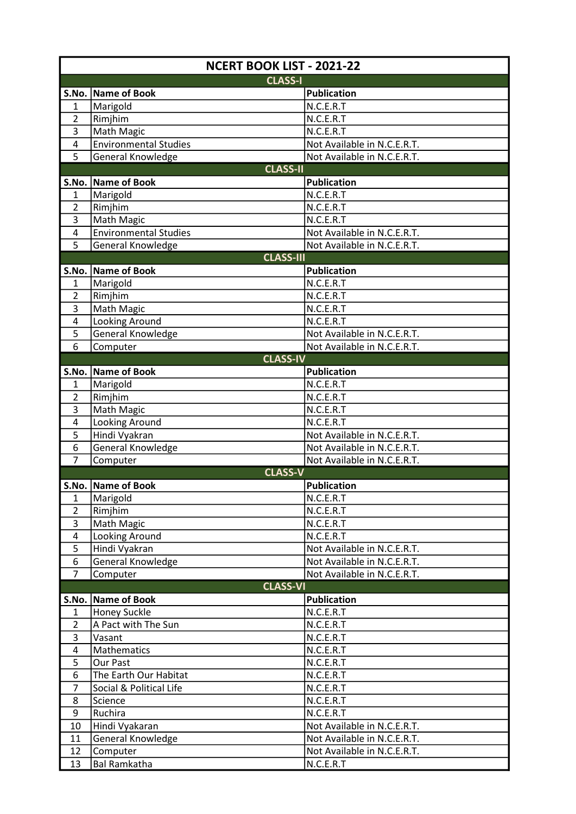| NCERT BOOK LIST - 2021-22      |                                 |                                 |  |
|--------------------------------|---------------------------------|---------------------------------|--|
|                                | <b>CLASS-I</b>                  |                                 |  |
|                                | S.No. Name of Book              | Publication                     |  |
| $\mathbf{1}$                   | Marigold                        | N.C.E.R.T                       |  |
| $\overline{2}$                 | Rimjhim                         | N.C.E.R.T                       |  |
| 3                              | <b>Math Magic</b>               | N.C.E.R.T                       |  |
| $\overline{\mathbf{4}}$        | <b>Environmental Studies</b>    | Not Available in N.C.E.R.T.     |  |
| 5                              | General Knowledge               | Not Available in N.C.E.R.T.     |  |
| <b>CLASS-II</b>                |                                 |                                 |  |
|                                | S.No. Name of Book              | <b>Publication</b>              |  |
| 1                              | Marigold                        | N.C.E.R.T                       |  |
| $\overline{2}$                 | Rimjhim                         | N.C.E.R.T                       |  |
| 3                              | <b>Math Magic</b>               | N.C.E.R.T                       |  |
| 4                              | <b>Environmental Studies</b>    | Not Available in N.C.E.R.T.     |  |
| 5                              | General Knowledge               | Not Available in N.C.E.R.T.     |  |
| <b>CLASS-III</b>               |                                 |                                 |  |
|                                | S.No. Name of Book              | <b>Publication</b>              |  |
| 1                              | Marigold                        | N.C.E.R.T                       |  |
| $\overline{2}$                 | Rimjhim                         | N.C.E.R.T                       |  |
| 3                              | Math Magic                      | N.C.E.R.T                       |  |
| 4                              | Looking Around                  | N.C.E.R.T                       |  |
| 5                              | General Knowledge               | Not Available in N.C.E.R.T.     |  |
| 6                              | Computer                        | Not Available in N.C.E.R.T.     |  |
|                                | <b>CLASS-IV</b>                 |                                 |  |
|                                | S.No. Name of Book              | <b>Publication</b><br>N.C.E.R.T |  |
| $\mathbf{1}$<br>$\overline{2}$ | Marigold                        | N.C.E.R.T                       |  |
| 3                              | Rimjhim<br><b>Math Magic</b>    | N.C.E.R.T                       |  |
| 4                              | Looking Around                  | N.C.E.R.T                       |  |
| 5                              | Hindi Vyakran                   | Not Available in N.C.E.R.T.     |  |
| 6                              | General Knowledge               | Not Available in N.C.E.R.T.     |  |
| $\overline{7}$                 | Computer                        | Not Available in N.C.E.R.T.     |  |
|                                | <b>CLASS-V</b>                  |                                 |  |
|                                | S.No. Name of Book              | Publication                     |  |
| $\mathbf{1}$                   | Marigold                        | N.C.E.R.T                       |  |
| $\overline{2}$                 | Rimjhim                         | N.C.E.R.T                       |  |
| 3                              | <b>Math Magic</b>               | N.C.E.R.T                       |  |
| 4                              | Looking Around                  | N.C.E.R.T                       |  |
| 5                              | Hindi Vyakran                   | Not Available in N.C.E.R.T.     |  |
| 6                              | General Knowledge               | Not Available in N.C.E.R.T.     |  |
| $\overline{7}$                 | Computer                        | Not Available in N.C.E.R.T.     |  |
|                                | <b>CLASS-VI</b>                 |                                 |  |
|                                | S.No. Name of Book              | <b>Publication</b>              |  |
| $\mathbf{1}$                   | <b>Honey Suckle</b>             | N.C.E.R.T                       |  |
| $\overline{2}$                 | A Pact with The Sun             | N.C.E.R.T                       |  |
| 3                              | Vasant                          | N.C.E.R.T                       |  |
| 4                              | Mathematics                     | N.C.E.R.T                       |  |
| 5                              | Our Past                        | N.C.E.R.T                       |  |
| 6                              | The Earth Our Habitat           | N.C.E.R.T                       |  |
| 7                              | Social & Political Life         | N.C.E.R.T                       |  |
| 8                              | Science                         | N.C.E.R.T                       |  |
| 9                              | Ruchira                         | N.C.E.R.T                       |  |
| 10                             | Hindi Vyakaran                  | Not Available in N.C.E.R.T.     |  |
| 11                             | General Knowledge               | Not Available in N.C.E.R.T.     |  |
| 12<br>13                       | Computer<br><b>Bal Ramkatha</b> | Not Available in N.C.E.R.T.     |  |
|                                |                                 | N.C.E.R.T                       |  |